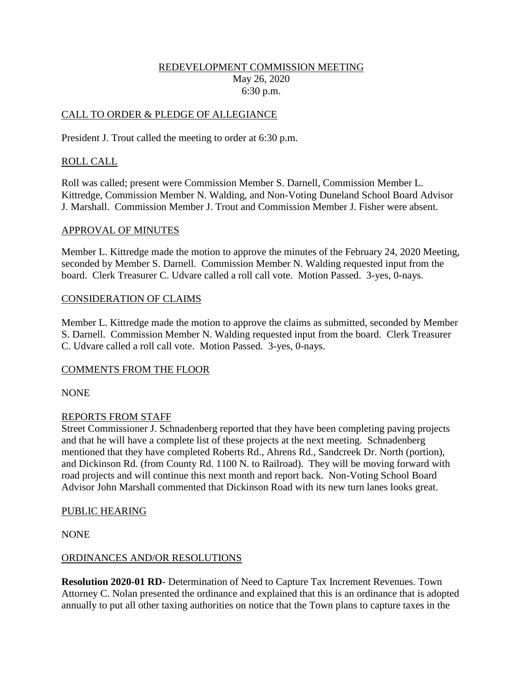### REDEVELOPMENT COMMISSION MEETING May 26, 2020 6:30 p.m.

# CALL TO ORDER & PLEDGE OF ALLEGIANCE

President J. Trout called the meeting to order at 6:30 p.m.

## ROLL CALL

Roll was called; present were Commission Member S. Darnell, Commission Member L. Kittredge, Commission Member N. Walding, and Non-Voting Duneland School Board Advisor J. Marshall. Commission Member J. Trout and Commission Member J. Fisher were absent.

#### APPROVAL OF MINUTES

Member L. Kittredge made the motion to approve the minutes of the February 24, 2020 Meeting, seconded by Member S. Darnell. Commission Member N. Walding requested input from the board. Clerk Treasurer C. Udvare called a roll call vote. Motion Passed. 3-yes, 0-nays.

#### CONSIDERATION OF CLAIMS

Member L. Kittredge made the motion to approve the claims as submitted, seconded by Member S. Darnell. Commission Member N. Walding requested input from the board. Clerk Treasurer C. Udvare called a roll call vote. Motion Passed. 3-yes, 0-nays.

#### COMMENTS FROM THE FLOOR

NONE

#### REPORTS FROM STAFF

Street Commissioner J. Schnadenberg reported that they have been completing paving projects and that he will have a complete list of these projects at the next meeting. Schnadenberg mentioned that they have completed Roberts Rd., Ahrens Rd., Sandcreek Dr. North (portion), and Dickinson Rd. (from County Rd. 1100 N. to Railroad). They will be moving forward with road projects and will continue this next month and report back. Non-Voting School Board Advisor John Marshall commented that Dickinson Road with its new turn lanes looks great.

#### PUBLIC HEARING

NONE

#### ORDINANCES AND/OR RESOLUTIONS

**Resolution 2020-01 RD**- Determination of Need to Capture Tax Increment Revenues. Town Attorney C. Nolan presented the ordinance and explained that this is an ordinance that is adopted annually to put all other taxing authorities on notice that the Town plans to capture taxes in the